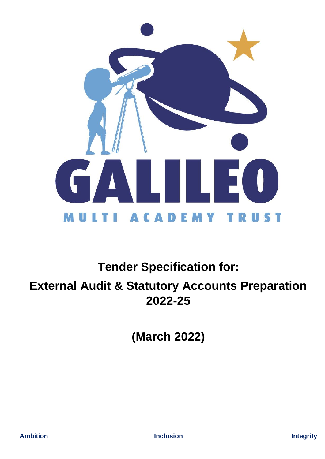

# **Tender Specification for:**

**External Audit & Statutory Accounts Preparation 2022-25**

**(March 2022)**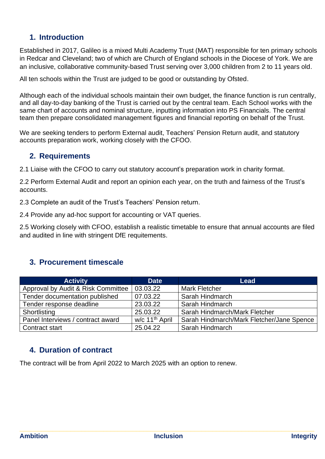#### **1. Introduction**

Established in 2017, Galileo is a mixed Multi Academy Trust (MAT) responsible for ten primary schools in Redcar and Cleveland; two of which are Church of England schools in the Diocese of York. We are an inclusive, collaborative community-based Trust serving over 3,000 children from 2 to 11 years old.

All ten schools within the Trust are judged to be good or outstanding by Ofsted.

Although each of the individual schools maintain their own budget, the finance function is run centrally, and all day-to-day banking of the Trust is carried out by the central team. Each School works with the same chart of accounts and nominal structure, inputting information into PS Financials. The central team then prepare consolidated management figures and financial reporting on behalf of the Trust.

We are seeking tenders to perform External audit, Teachers' Pension Return audit, and statutory accounts preparation work, working closely with the CFOO.

#### **2. Requirements**

2.1 Liaise with the CFOO to carry out statutory account's preparation work in charity format.

2.2 Perform External Audit and report an opinion each year, on the truth and fairness of the Trust's accounts.

2.3 Complete an audit of the Trust's Teachers' Pension return.

2.4 Provide any ad-hoc support for accounting or VAT queries.

2.5 Working closely with CFOO, establish a realistic timetable to ensure that annual accounts are filed and audited in line with stringent DfE requitements.

#### **3. Procurement timescale**

| <b>Activity</b>                    | <b>Date</b>                | Lead                                      |  |
|------------------------------------|----------------------------|-------------------------------------------|--|
| Approval by Audit & Risk Committee | 03.03.22                   | <b>Mark Fletcher</b>                      |  |
| Tender documentation published     | 07.03.22                   | Sarah Hindmarch                           |  |
| Tender response deadline           | 23.03.22                   | Sarah Hindmarch                           |  |
| Shortlisting                       | 25.03.22                   | Sarah Hindmarch/Mark Fletcher             |  |
| Panel Interviews / contract award  | w/c 11 <sup>th</sup> April | Sarah Hindmarch/Mark Fletcher/Jane Spence |  |
| Contract start                     | 25.04.22                   | Sarah Hindmarch                           |  |

#### **4. Duration of contract**

The contract will be from April 2022 to March 2025 with an option to renew.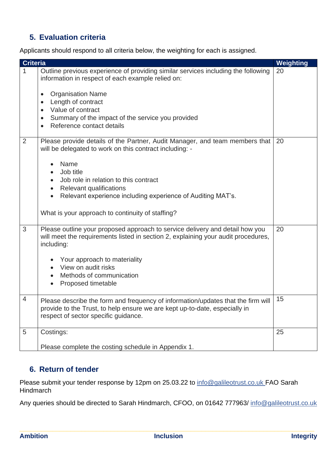### **5. Evaluation criteria**

Applicants should respond to all criteria below, the weighting for each is assigned.

| <b>Criteria</b> |                                                                                                                                                                                                                                                                                                                                                                        | <b>Weighting</b> |
|-----------------|------------------------------------------------------------------------------------------------------------------------------------------------------------------------------------------------------------------------------------------------------------------------------------------------------------------------------------------------------------------------|------------------|
| 1               | Outline previous experience of providing similar services including the following<br>information in respect of each example relied on:<br><b>Organisation Name</b><br>$\bullet$<br>Length of contract<br>$\bullet$<br>Value of contract<br>$\bullet$<br>Summary of the impact of the service you provided<br>$\bullet$<br>Reference contact details<br>$\bullet$       | 20               |
| $\overline{2}$  | Please provide details of the Partner, Audit Manager, and team members that<br>will be delegated to work on this contract including: -<br>Name<br>Job title<br>Job role in relation to this contract<br><b>Relevant qualifications</b><br>$\bullet$<br>Relevant experience including experience of Auditing MAT's.<br>What is your approach to continuity of staffing? | 20               |
| 3               | Please outline your proposed approach to service delivery and detail how you<br>will meet the requirements listed in section 2, explaining your audit procedures,<br>including:<br>Your approach to materiality<br>View on audit risks<br>Methods of communication<br>Proposed timetable                                                                               | 20               |
| $\Delta$        | Please describe the form and frequency of information/updates that the firm will<br>provide to the Trust, to help ensure we are kept up-to-date, especially in<br>respect of sector specific quidance.                                                                                                                                                                 | 15               |
| 5               | Costings:<br>Please complete the costing schedule in Appendix 1.                                                                                                                                                                                                                                                                                                       | 25               |

#### **6. Return of tender**

Please submit your tender response by 12pm on 25.03.22 to [info@galileotrust.co.uk](mailto:info@galileotrust.co.uk) FAO Sarah **Hindmarch** 

Any queries should be directed to Sarah Hindmarch, CFOO, on 01642 777963/ [info@galileotrust.co.uk](mailto:info@galileotrust.co.uk)